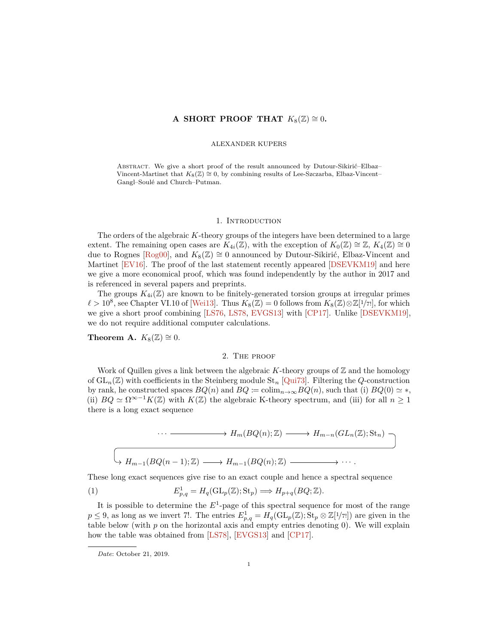# <span id="page-0-2"></span>**A SHORT PROOF THAT**  $K_8(\mathbb{Z}) \cong 0$ .

### ALEXANDER KUPERS

ABSTRACT. We give a short proof of the result announced by Dutour-Sikirić–Elbaz– Vincent-Martinet that  $K_8(\mathbb{Z}) \cong 0$ , by combining results of Lee-Szczarba, Elbaz-Vincent– Gangl–Soulé and Church–Putman.

#### 1. INTRODUCTION

The orders of the algebraic *K*-theory groups of the integers have been determined to a large extent. The remaining open cases are  $K_{4i}(\mathbb{Z})$ , with the exception of  $K_0(\mathbb{Z}) \cong \mathbb{Z}$ ,  $K_4(\mathbb{Z}) \cong 0$ due to Rognes [\[Rog00\]](#page-3-0), and  $K_8(\mathbb{Z}) \cong 0$  announced by Dutour-Sikirić, Elbaz-Vincent and Martinet [\[EV16\]](#page-3-1). The proof of the last statement recently appeared [\[DSEVKM19\]](#page-3-2) and here we give a more economical proof, which was found independently by the author in 2017 and is referenced in several papers and preprints.

The groups  $K_{4i}(\mathbb{Z})$  are known to be finitely-generated torsion groups at irregular primes  $\ell > 10^8$ , see Chapter VI.10 of [\[Wei13\]](#page-3-3). Thus  $K_8(\mathbb{Z}) = 0$  follows from  $K_8(\mathbb{Z}) \otimes \mathbb{Z}[1/\tau]$ , for which we give a short proof combining [\[LS76,](#page-3-4) [LS78,](#page-3-5) [EVGS13\]](#page-3-6) with [\[CP17\]](#page-3-7). Unlike [\[DSEVKM19\]](#page-3-2), we do not require additional computer calculations.

<span id="page-0-1"></span>**Theorem A.**  $K_8(\mathbb{Z}) \cong 0$ .

#### 2. The proof

Work of Quillen gives a link between the algebraic  $K$ -theory groups of  $\mathbb Z$  and the homology of  $GL_n(\mathbb{Z})$  with coefficients in the Steinberg module  $St_n$  [\[Qui73\]](#page-3-8). Filtering the *Q*-construction by rank, he constructed spaces  $BQ(n)$  and  $BQ := \text{colim}_{n \to \infty} BQ(n)$ , such that (i)  $BQ(0) \simeq *,$ (ii)  $BQ \simeq \Omega^{\infty-1}K(\mathbb{Z})$  with  $K(\mathbb{Z})$  the algebraic K-theory spectrum, and (iii) for all  $n \geq 1$ there is a long exact sequence

<span id="page-0-0"></span>
$$
\cdots \longrightarrow H_m(BQ(n); \mathbb{Z}) \longrightarrow H_{m-n}(GL_n(\mathbb{Z}); \text{St}_n)
$$
  

$$
\longrightarrow H_{m-1}(BQ(n-1); \mathbb{Z}) \longrightarrow H_{m-1}(BQ(n); \mathbb{Z}) \longrightarrow \cdots
$$

These long exact sequences give rise to an exact couple and hence a spectral sequence

(1) 
$$
E_{p,q}^1 = H_q(\mathrm{GL}_p(\mathbb{Z}); \mathrm{St}_p) \Longrightarrow H_{p+q}(BQ; \mathbb{Z}).
$$

It is possible to determine the  $E^1$ -page of this spectral sequence for most of the range  $p \leq 9$ , as long as we invert 7!. The entries  $E_{p,q}^1 = H_q(\mathrm{GL}_p(\mathbb{Z}); \mathrm{St}_p \otimes \mathbb{Z}[1/\tau])$  are given in the table below (with *p* on the horizontal axis and empty entries denoting 0). We will explain how the table was obtained from [\[LS78\]](#page-3-5), [\[EVGS13\]](#page-3-6) and [\[CP17\]](#page-3-7).

*Date*: October 21, 2019.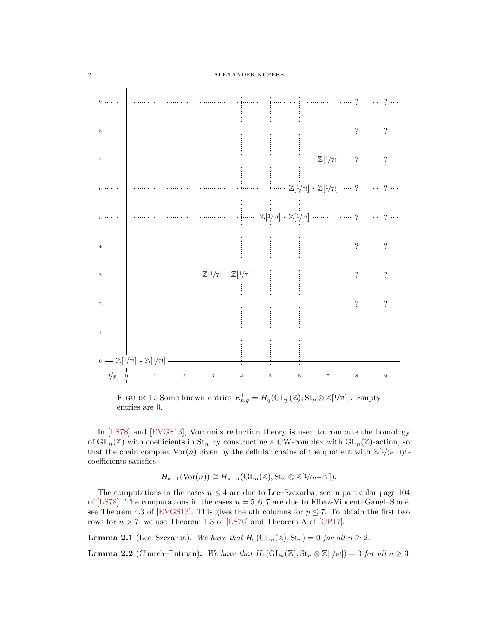<span id="page-1-1"></span>

FIGURE 1. Some known entries  $E_{p,q}^1 = H_q(\text{GL}_p(\mathbb{Z}); \text{St}_p \otimes \mathbb{Z}[1/\tau])$ . Empty entries are 0.

In [\[LS78\]](#page-3-5) and [\[EVGS13\]](#page-3-6), Voronoi's reduction theory is used to compute the homology of  $GL_n(\mathbb{Z})$  with coefficients in  $St_n$  by constructing a CW-complex with  $GL_n(\mathbb{Z})$ -action, so that the chain complex  $\text{Vor}(n)$  given by the cellular chains of the quotient with  $\mathbb{Z}[1/(n+1)!]$ coefficients satisfies

$$
H_{*-1}(\mathrm{Vor}(n)) \cong H_{*-n}(\mathrm{GL}_n(\mathbb{Z}), \mathrm{St}_n \otimes \mathbb{Z}[1/(n+1)!]).
$$

The computations in the cases  $n \leq 4$  are due to Lee–Szczarba, see in particular page 104 of [\[LS78\]](#page-3-5). The computations in the cases  $n = 5, 6, 7$  are due to Elbaz-Vincent–Gangl–Soulé, see Theorem 4.3 of [\[EVGS13\]](#page-3-6). This gives the *p*th columns for  $p \le 7$ . To obtain the first two rows for  $n > 7$ , we use Theorem 1.3 of [\[LS76\]](#page-3-4) and Theorem A of [\[CP17\]](#page-3-7).

**Lemma 2.1** (Lee–Szczarba). We have that  $H_0(\text{GL}_n(\mathbb{Z}), \text{St}_n) = 0$  for all  $n \geq 2$ .

<span id="page-1-0"></span>**Lemma 2.2** (Church–Putman). We have that  $H_1(\text{GL}_n(\mathbb{Z}), \text{St}_n \otimes \mathbb{Z}[1/n!]) = 0$  for all  $n \geq 3$ .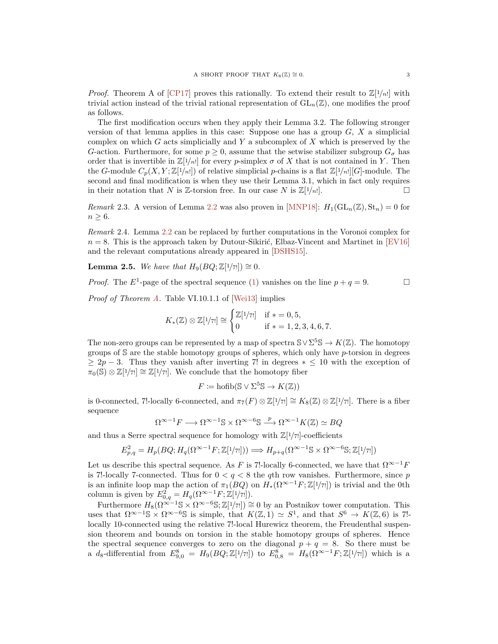<span id="page-2-0"></span>*Proof.* Theorem A of [\[CP17\]](#page-3-7) proves this rationally. To extend their result to  $\mathbb{Z}[1/n!]$  with trivial action instead of the trivial rational representation of  $GL_n(\mathbb{Z})$ , one modifies the proof as follows.

The first modification occurs when they apply their Lemma 3.2. The following stronger version of that lemma applies in this case: Suppose one has a group *G*, *X* a simplicial complex on which *G* acts simplicially and *Y* a subcomplex of *X* which is preserved by the *G*-action. Furthermore, for some  $p \geq 0$ , assume that the setwise stabilizer subgroup  $G_{\sigma}$  has order that is invertible in  $\mathbb{Z}[1/n!]$  for every *p*-simplex  $\sigma$  of X that is not contained in Y. Then the *G*-module  $C_p(X, Y; \mathbb{Z}[1/n])$  of relative simplicial *p*-chains is a flat  $\mathbb{Z}[1/n][G]$ -module. The second and final modification is when they use their Lemma 3.1, which in fact only requires in their notation that *N* is  $\mathbb{Z}$ -torsion free. In our case *N* is  $\mathbb{Z}[1/n!]$ .

*Remark* 2.3. A version of Lemma [2.2](#page-1-0) was also proven in [\[MNP18\]](#page-3-9):  $H_1(\text{GL}_n(\mathbb{Z}), \text{St}_n) = 0$  for  $n \geq 6$ .

*Remark* 2.4*.* Lemma [2.2](#page-1-0) can be replaced by further computations in the Voronoi complex for  $n = 8$ . This is the approach taken by Dutour-Sikirić, Elbaz-Vincent and Martinet in [\[EV16\]](#page-3-1) and the relevant computations already appeared in [\[DSHS15\]](#page-3-10).

**Lemma 2.5.** *We have that*  $H_9(BQ; \mathbb{Z}[1/\tau]) \cong 0$ *.* 

*Proof.* The  $E^1$ -page of the spectral sequence [\(1\)](#page-0-0) vanishes on the line  $p + q = 9$ .

*Proof of Theorem [A.](#page-0-1)* Table VI.10.1.1 of [\[Wei13\]](#page-3-3) implies

$$
K_{*}(\mathbb{Z}) \otimes \mathbb{Z}[1/\tau] \cong \begin{cases} \mathbb{Z}[1/\tau] & \text{if } * = 0, 5, \\ 0 & \text{if } * = 1, 2, 3, 4, 6, 7. \end{cases}
$$

The non-zero groups can be represented by a map of spectra  $\mathbb{S} \vee \Sigma^5 \mathbb{S} \to K(\mathbb{Z})$ . The homotopy groups of S are the stable homotopy groups of spheres, which only have *p*-torsion in degrees  $\geq 2p-3$ . Thus they vanish after inverting 7! in degrees  $* \leq 10$  with the exception of  $\overline{\pi}_0(\mathbb{S}) \otimes \mathbb{Z}[1/\tau] \cong \mathbb{Z}[1/\tau]$ . We conclude that the homotopy fiber

$$
F \coloneqq \text{hofib}(\mathbb{S} \vee \Sigma^5 \mathbb{S} \to K(\mathbb{Z}))
$$

is 0-connected, 7!-locally 6-connected, and  $\pi_7(F) \otimes \mathbb{Z}[1/\tau] \cong K_8(\mathbb{Z}) \otimes \mathbb{Z}[1/\tau]$ . There is a fiber sequence

$$
\Omega^{\infty-1}F \longrightarrow \Omega^{\infty-1}\mathbb{S} \times \Omega^{\infty-6}\mathbb{S} \stackrel{p}{\longrightarrow} \Omega^{\infty-1}K(\mathbb{Z}) \simeq BQ
$$

and thus a Serre spectral sequence for homology with  $\mathbb{Z}[1/\tau]$ -coefficients

$$
E_{p,q}^2 = H_p(BQ; H_q(\Omega^{\infty-1}F; \mathbb{Z}[1/\tau])) \Longrightarrow H_{p+q}(\Omega^{\infty-1}S \times \Omega^{\infty-6}S; \mathbb{Z}[1/\tau])
$$

Let us describe this spectral sequence. As *F* is 7!-locally 6-connected, we have that  $\Omega^{\infty-1}F$ is 7!-locally 7-connected. Thus for  $0 < q < 8$  the *q*th row vanishes. Furthermore, since *p* is an infinite loop map the action of  $\pi_1(BQ)$  on  $H_*(\Omega^{\infty-1}F;\mathbb{Z}[1/\tau])$  is trivial and the 0th column is given by  $E_{0,q}^2 = H_q(\Omega^{\infty-1}F; \mathbb{Z}[1/\tau])$ .

Furthermore  $H_8(\Omega^{\infty-1} \mathbb{S} \times \Omega^{\infty-6} \mathbb{S}; \mathbb{Z}[1/\tau]) \cong 0$  by an Postnikov tower computation. This uses that  $\Omega^{\infty-1}$ S ×  $\Omega^{\infty-6}$ S is simple, that  $K(\mathbb{Z},1) \simeq S^1$ , and that  $S^6 \to K(\mathbb{Z},6)$  is 7!locally 10-connected using the relative 7!-local Hurewicz theorem, the Freudenthal suspension theorem and bounds on torsion in the stable homotopy groups of spheres. Hence the spectral sequence converges to zero on the diagonal  $p + q = 8$ . So there must be  $d_8$ -differential from  $E_{9,0}^8 = H_9(BQ; \mathbb{Z}[1/\tau])$  to  $E_{0,8}^8 = H_8(\Omega^{\infty-1}F; \mathbb{Z}[1/\tau])$  which is a